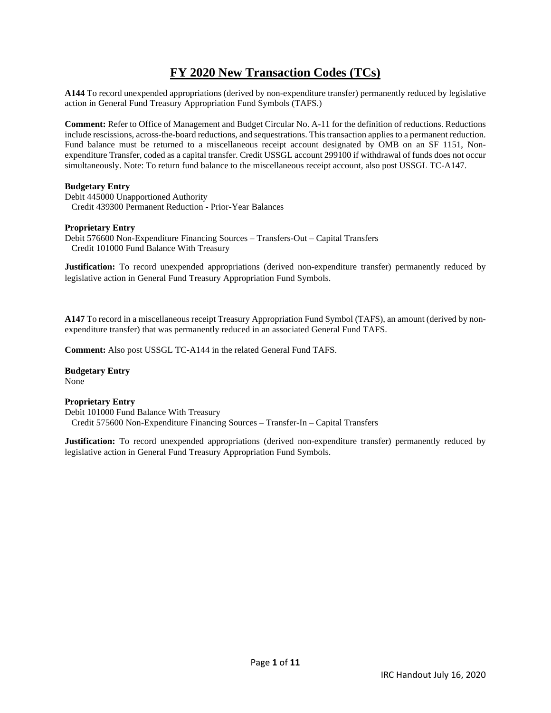# **FY 2020 New Transaction Codes (TCs)**

**A144** To record unexpended appropriations (derived by non-expenditure transfer) permanently reduced by legislative action in General Fund Treasury Appropriation Fund Symbols (TAFS.)

**Comment:** Refer to Office of Management and Budget Circular No. A-11 for the definition of reductions. Reductions include rescissions, across-the-board reductions, and sequestrations. This transaction applies to a permanent reduction. Fund balance must be returned to a miscellaneous receipt account designated by OMB on an SF 1151, Nonexpenditure Transfer, coded as a capital transfer. Credit USSGL account 299100 if withdrawal of funds does not occur simultaneously. Note: To return fund balance to the miscellaneous receipt account, also post USSGL TC-A147.

### **Budgetary Entry**

Debit 445000 Unapportioned Authority Credit 439300 Permanent Reduction - Prior-Year Balances

### **Proprietary Entry**

Debit 576600 Non-Expenditure Financing Sources – Transfers-Out – Capital Transfers Credit 101000 Fund Balance With Treasury

**Justification:** To record unexpended appropriations (derived non-expenditure transfer) permanently reduced by legislative action in General Fund Treasury Appropriation Fund Symbols.

**A147** To record in a miscellaneous receipt Treasury Appropriation Fund Symbol (TAFS), an amount (derived by nonexpenditure transfer) that was permanently reduced in an associated General Fund TAFS.

**Comment:** Also post USSGL TC-A144 in the related General Fund TAFS.

**Budgetary Entry**  None

### **Proprietary Entry**

Debit 101000 Fund Balance With Treasury Credit 575600 Non-Expenditure Financing Sources – Transfer-In – Capital Transfers

**Justification:** To record unexpended appropriations (derived non-expenditure transfer) permanently reduced by legislative action in General Fund Treasury Appropriation Fund Symbols.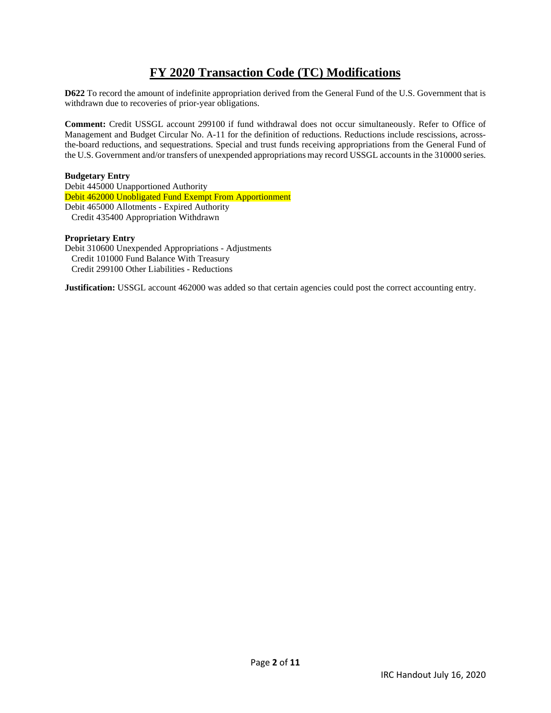# **FY 2020 Transaction Code (TC) Modifications**

**D622** To record the amount of indefinite appropriation derived from the General Fund of the U.S. Government that is withdrawn due to recoveries of prior-year obligations.

**Comment:** Credit USSGL account 299100 if fund withdrawal does not occur simultaneously. Refer to Office of Management and Budget Circular No. A-11 for the definition of reductions. Reductions include rescissions, acrossthe-board reductions, and sequestrations. Special and trust funds receiving appropriations from the General Fund of the U.S. Government and/or transfers of unexpended appropriations may record USSGL accounts in the 310000 series.

### **Budgetary Entry**

Debit 445000 Unapportioned Authority Debit 462000 Unobligated Fund Exempt From Apportionment Debit 465000 Allotments - Expired Authority Credit 435400 Appropriation Withdrawn

### **Proprietary Entry**

Debit 310600 Unexpended Appropriations - Adjustments Credit 101000 Fund Balance With Treasury Credit 299100 Other Liabilities - Reductions

**Justification:** USSGL account 462000 was added so that certain agencies could post the correct accounting entry.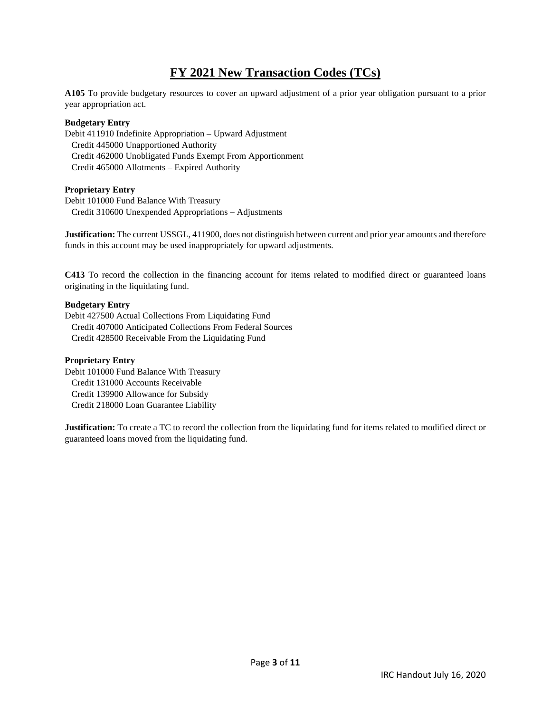# **FY 2021 New Transaction Codes (TCs)**

**A105** To provide budgetary resources to cover an upward adjustment of a prior year obligation pursuant to a prior year appropriation act.

### **Budgetary Entry**

Debit 411910 Indefinite Appropriation – Upward Adjustment Credit 445000 Unapportioned Authority Credit 462000 Unobligated Funds Exempt From Apportionment Credit 465000 Allotments – Expired Authority

### **Proprietary Entry**

Debit 101000 Fund Balance With Treasury Credit 310600 Unexpended Appropriations – Adjustments

**Justification:** The current USSGL, 411900, does not distinguish between current and prior year amounts and therefore funds in this account may be used inappropriately for upward adjustments.

**C413** To record the collection in the financing account for items related to modified direct or guaranteed loans originating in the liquidating fund.

### **Budgetary Entry**

Debit 427500 Actual Collections From Liquidating Fund Credit 407000 Anticipated Collections From Federal Sources Credit 428500 Receivable From the Liquidating Fund

### **Proprietary Entry**

Debit 101000 Fund Balance With Treasury Credit 131000 Accounts Receivable Credit 139900 Allowance for Subsidy Credit 218000 Loan Guarantee Liability

**Justification:** To create a TC to record the collection from the liquidating fund for items related to modified direct or guaranteed loans moved from the liquidating fund.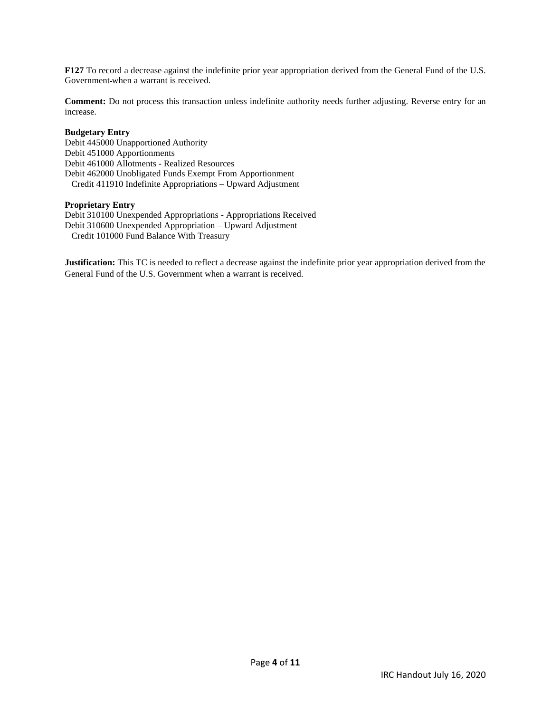**F127** To record a decrease against the indefinite prior year appropriation derived from the General Fund of the U.S. Government when a warrant is received.

**Comment:** Do not process this transaction unless indefinite authority needs further adjusting. Reverse entry for an increase.

### **Budgetary Entry**

Debit 445000 Unapportioned Authority Debit 451000 Apportionments Debit 461000 Allotments - Realized Resources Debit 462000 Unobligated Funds Exempt From Apportionment Credit 411910 Indefinite Appropriations – Upward Adjustment

### **Proprietary Entry**

Debit 310100 Unexpended Appropriations - Appropriations Received Debit 310600 Unexpended Appropriation – Upward Adjustment Credit 101000 Fund Balance With Treasury

**Justification:** This TC is needed to reflect a decrease against the indefinite prior year appropriation derived from the General Fund of the U.S. Government when a warrant is received.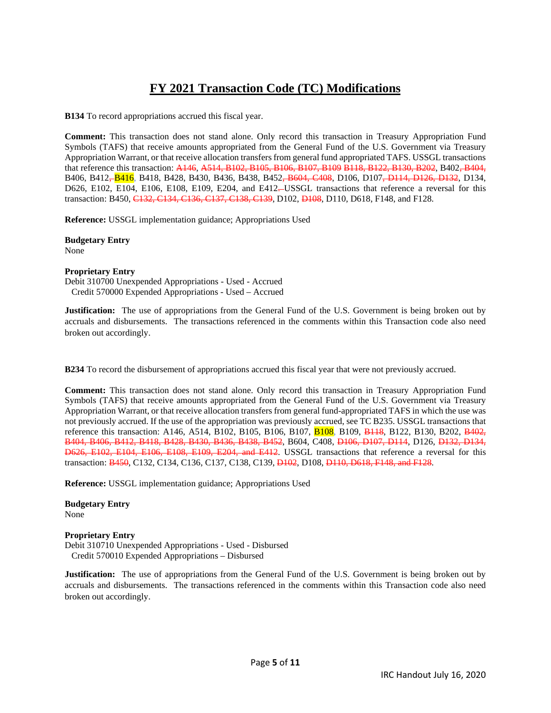# **FY 2021 Transaction Code (TC) Modifications**

**B134** To record appropriations accrued this fiscal year.

**Comment:** This transaction does not stand alone. Only record this transaction in Treasury Appropriation Fund Symbols (TAFS) that receive amounts appropriated from the General Fund of the U.S. Government via Treasury Appropriation Warrant, or that receive allocation transfers from general fund appropriated TAFS. USSGL transactions that reference this transaction: A146, A514, B102, B105, B106, B107, B109 B118, B122, B130, B202, B402, B404, B406, B412, B416, B418, B428, B430, B436, B438, B452, B604, C408, D106, D107, D114, D126, D132, D134, D626, E102, E104, E106, E108, E109, E204, and E412-USSGL transactions that reference a reversal for this transaction: B450, C132, C134, C136, C137, C138, C139, D102, D108, D110, D618, F148, and F128.

**Reference:** USSGL implementation guidance; Appropriations Used

**Budgetary Entry**  None

### **Proprietary Entry**

Debit 310700 Unexpended Appropriations - Used - Accrued Credit 570000 Expended Appropriations - Used – Accrued

**Justification:** The use of appropriations from the General Fund of the U.S. Government is being broken out by accruals and disbursements. The transactions referenced in the comments within this Transaction code also need broken out accordingly.

**B234** To record the disbursement of appropriations accrued this fiscal year that were not previously accrued.

**Comment:** This transaction does not stand alone. Only record this transaction in Treasury Appropriation Fund Symbols (TAFS) that receive amounts appropriated from the General Fund of the U.S. Government via Treasury Appropriation Warrant, or that receive allocation transfers from general fund-appropriated TAFS in which the use was not previously accrued. If the use of the appropriation was previously accrued, see TC B235. USSGL transactions that reference this transaction: A146, A514, B102, B105, B106, B107, B108, B109, B148, B122, B130, B202, B402, B404, B406, B412, B418, B428, B430, B436, B438, B452, B604, C408, D106, D107, D114, D126, D132, D134, D626, E102, E104, E106, E108, E109, E204, and E412. USSGL transactions that reference a reversal for this transaction: B450, C132, C134, C136, C137, C138, C139, D102, D108, D110, D618, F148, and F128.

**Reference:** USSGL implementation guidance; Appropriations Used

**Budgetary Entry**  None

### **Proprietary Entry**

Debit 310710 Unexpended Appropriations - Used - Disbursed Credit 570010 Expended Appropriations – Disbursed

**Justification:** The use of appropriations from the General Fund of the U.S. Government is being broken out by accruals and disbursements. The transactions referenced in the comments within this Transaction code also need broken out accordingly.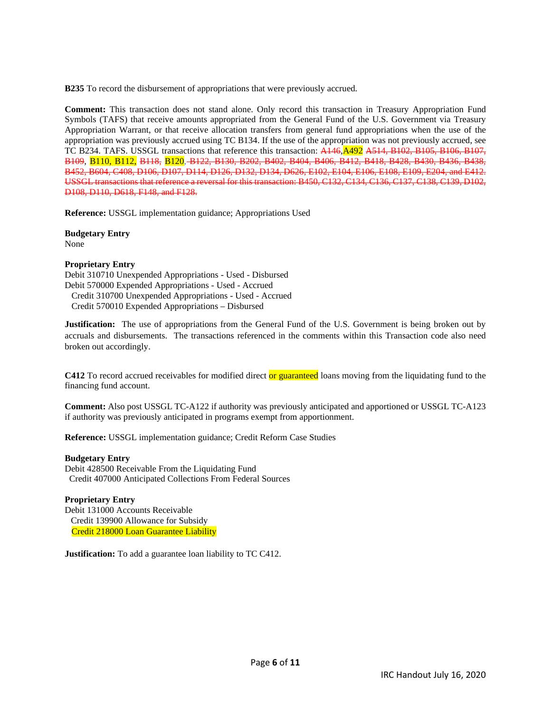**B235** To record the disbursement of appropriations that were previously accrued.

**Comment:** This transaction does not stand alone. Only record this transaction in Treasury Appropriation Fund Symbols (TAFS) that receive amounts appropriated from the General Fund of the U.S. Government via Treasury Appropriation Warrant, or that receive allocation transfers from general fund appropriations when the use of the appropriation was previously accrued using TC B134. If the use of the appropriation was not previously accrued, see TC B234. TAFS. USSGL transactions that reference this transaction: A146, A492 A514, B102, B105, B106, B107, B109, B110, B112, B118, B120, B122, B130, B202, B402, B404, B406, B412, B418, B428, B430, B436, B438, B452, B604, C408, D106, D107, D114, D126, D132, D134, D626, E102, E104, E106, E108, E109, E204, and E412. USSGL transactions that reference a reversal for this transaction: B450, C132, C134, C136, C137, C138, C139, D102, D108, D110, D618, F148, and F128.

**Reference:** USSGL implementation guidance; Appropriations Used

**Budgetary Entry**  None

### **Proprietary Entry**

Debit 310710 Unexpended Appropriations - Used - Disbursed Debit 570000 Expended Appropriations - Used - Accrued Credit 310700 Unexpended Appropriations - Used - Accrued Credit 570010 Expended Appropriations – Disbursed

**Justification:** The use of appropriations from the General Fund of the U.S. Government is being broken out by accruals and disbursements. The transactions referenced in the comments within this Transaction code also need broken out accordingly.

**C412** To record accrued receivables for modified direct or guaranteed loans moving from the liquidating fund to the financing fund account.

**Comment:** Also post USSGL TC-A122 if authority was previously anticipated and apportioned or USSGL TC-A123 if authority was previously anticipated in programs exempt from apportionment.

**Reference:** USSGL implementation guidance; Credit Reform Case Studies

### **Budgetary Entry**

Debit 428500 Receivable From the Liquidating Fund Credit 407000 Anticipated Collections From Federal Sources

### **Proprietary Entry**

Debit 131000 Accounts Receivable Credit 139900 Allowance for Subsidy Credit 218000 Loan Guarantee Liability

**Justification:** To add a guarantee loan liability to TC C412.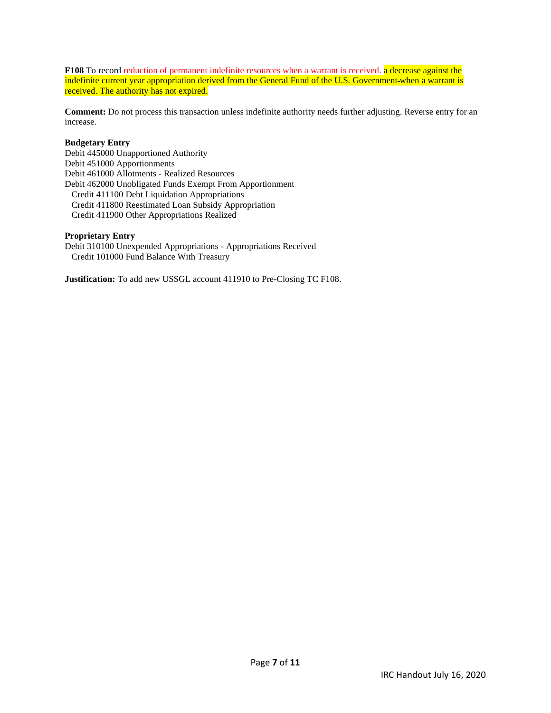**F108** To record reduction of permanent indefinite resources when a warrant is received. a decrease against the indefinite current year appropriation derived from the General Fund of the U.S. Government-when a warrant is received. The authority has not expired.

**Comment:** Do not process this transaction unless indefinite authority needs further adjusting. Reverse entry for an increase.

### **Budgetary Entry**

Debit 445000 Unapportioned Authority Debit 451000 Apportionments Debit 461000 Allotments - Realized Resources Debit 462000 Unobligated Funds Exempt From Apportionment Credit 411100 Debt Liquidation Appropriations Credit 411800 Reestimated Loan Subsidy Appropriation Credit 411900 Other Appropriations Realized

### **Proprietary Entry**

Debit 310100 Unexpended Appropriations - Appropriations Received Credit 101000 Fund Balance With Treasury

**Justification:** To add new USSGL account 411910 to Pre-Closing TC F108.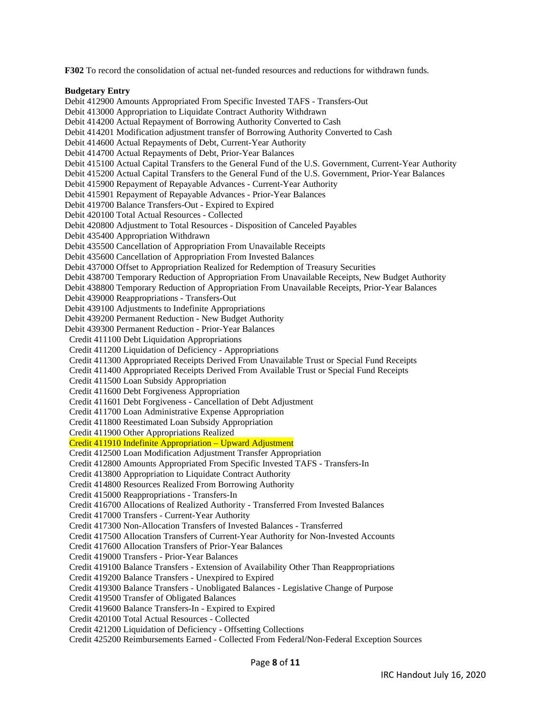**F302** To record the consolidation of actual net-funded resources and reductions for withdrawn funds.

### **Budgetary Entry**

Debit 412900 Amounts Appropriated From Specific Invested TAFS - Transfers-Out Debit 413000 Appropriation to Liquidate Contract Authority Withdrawn Debit 414200 Actual Repayment of Borrowing Authority Converted to Cash Debit 414201 Modification adjustment transfer of Borrowing Authority Converted to Cash Debit 414600 Actual Repayments of Debt, Current-Year Authority Debit 414700 Actual Repayments of Debt, Prior-Year Balances Debit 415100 Actual Capital Transfers to the General Fund of the U.S. Government, Current-Year Authority Debit 415200 Actual Capital Transfers to the General Fund of the U.S. Government, Prior-Year Balances Debit 415900 Repayment of Repayable Advances - Current-Year Authority Debit 415901 Repayment of Repayable Advances - Prior-Year Balances Debit 419700 Balance Transfers-Out - Expired to Expired Debit 420100 Total Actual Resources - Collected Debit 420800 Adjustment to Total Resources - Disposition of Canceled Payables Debit 435400 Appropriation Withdrawn Debit 435500 Cancellation of Appropriation From Unavailable Receipts Debit 435600 Cancellation of Appropriation From Invested Balances Debit 437000 Offset to Appropriation Realized for Redemption of Treasury Securities Debit 438700 Temporary Reduction of Appropriation From Unavailable Receipts, New Budget Authority Debit 438800 Temporary Reduction of Appropriation From Unavailable Receipts, Prior-Year Balances Debit 439000 Reappropriations - Transfers-Out Debit 439100 Adjustments to Indefinite Appropriations Debit 439200 Permanent Reduction - New Budget Authority Debit 439300 Permanent Reduction - Prior-Year Balances Credit 411100 Debt Liquidation Appropriations Credit 411200 Liquidation of Deficiency - Appropriations Credit 411300 Appropriated Receipts Derived From Unavailable Trust or Special Fund Receipts Credit 411400 Appropriated Receipts Derived From Available Trust or Special Fund Receipts Credit 411500 Loan Subsidy Appropriation Credit 411600 Debt Forgiveness Appropriation Credit 411601 Debt Forgiveness - Cancellation of Debt Adjustment Credit 411700 Loan Administrative Expense Appropriation Credit 411800 Reestimated Loan Subsidy Appropriation Credit 411900 Other Appropriations Realized Credit 411910 Indefinite Appropriation – Upward Adjustment Credit 412500 Loan Modification Adjustment Transfer Appropriation Credit 412800 Amounts Appropriated From Specific Invested TAFS - Transfers-In Credit 413800 Appropriation to Liquidate Contract Authority Credit 414800 Resources Realized From Borrowing Authority Credit 415000 Reappropriations - Transfers-In Credit 416700 Allocations of Realized Authority - Transferred From Invested Balances Credit 417000 Transfers - Current-Year Authority Credit 417300 Non-Allocation Transfers of Invested Balances - Transferred Credit 417500 Allocation Transfers of Current-Year Authority for Non-Invested Accounts Credit 417600 Allocation Transfers of Prior-Year Balances Credit 419000 Transfers - Prior-Year Balances Credit 419100 Balance Transfers - Extension of Availability Other Than Reappropriations Credit 419200 Balance Transfers - Unexpired to Expired Credit 419300 Balance Transfers - Unobligated Balances - Legislative Change of Purpose Credit 419500 Transfer of Obligated Balances Credit 419600 Balance Transfers-In - Expired to Expired Credit 420100 Total Actual Resources - Collected Credit 421200 Liquidation of Deficiency - Offsetting Collections Credit 425200 Reimbursements Earned - Collected From Federal/Non-Federal Exception Sources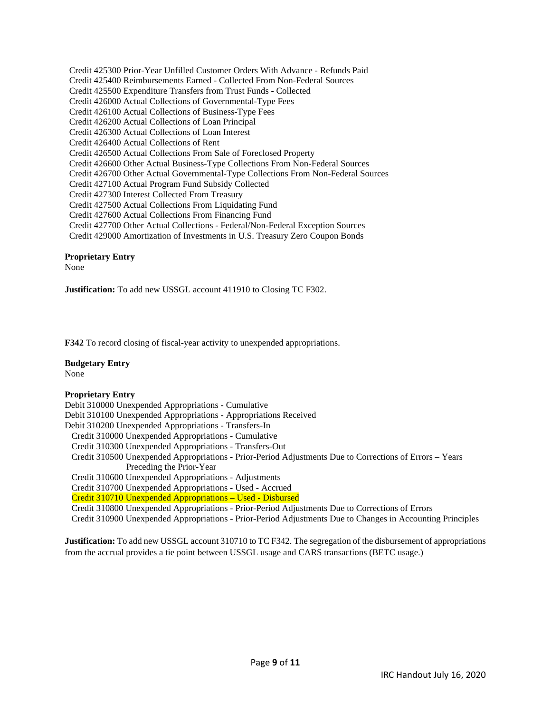Credit 425300 Prior-Year Unfilled Customer Orders With Advance - Refunds Paid Credit 425400 Reimbursements Earned - Collected From Non-Federal Sources Credit 425500 Expenditure Transfers from Trust Funds - Collected Credit 426000 Actual Collections of Governmental-Type Fees Credit 426100 Actual Collections of Business-Type Fees Credit 426200 Actual Collections of Loan Principal Credit 426300 Actual Collections of Loan Interest Credit 426400 Actual Collections of Rent Credit 426500 Actual Collections From Sale of Foreclosed Property Credit 426600 Other Actual Business-Type Collections From Non-Federal Sources Credit 426700 Other Actual Governmental-Type Collections From Non-Federal Sources Credit 427100 Actual Program Fund Subsidy Collected Credit 427300 Interest Collected From Treasury Credit 427500 Actual Collections From Liquidating Fund Credit 427600 Actual Collections From Financing Fund Credit 427700 Other Actual Collections - Federal/Non-Federal Exception Sources Credit 429000 Amortization of Investments in U.S. Treasury Zero Coupon Bonds

### **Proprietary Entry**

None

**Justification:** To add new USSGL account 411910 to Closing TC F302.

**F342** To record closing of fiscal-year activity to unexpended appropriations.

### **Budgetary Entry**

None

### **Proprietary Entry**

Debit 310000 Unexpended Appropriations - Cumulative Debit 310100 Unexpended Appropriations - Appropriations Received Debit 310200 Unexpended Appropriations - Transfers-In Credit 310000 Unexpended Appropriations - Cumulative Credit 310300 Unexpended Appropriations - Transfers-Out Credit 310500 Unexpended Appropriations - Prior-Period Adjustments Due to Corrections of Errors – Years Preceding the Prior-Year Credit 310600 Unexpended Appropriations - Adjustments Credit 310700 Unexpended Appropriations - Used - Accrued Credit 310710 Unexpended Appropriations – Used - Disbursed Credit 310800 Unexpended Appropriations - Prior-Period Adjustments Due to Corrections of Errors Credit 310900 Unexpended Appropriations - Prior-Period Adjustments Due to Changes in Accounting Principles

**Justification:** To add new USSGL account 310710 to TC F342. The segregation of the disbursement of appropriations from the accrual provides a tie point between USSGL usage and CARS transactions (BETC usage.)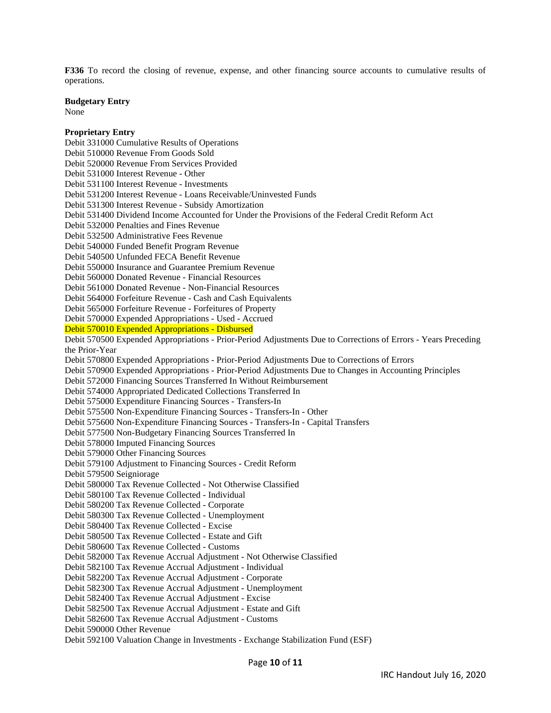**F336** To record the closing of revenue, expense, and other financing source accounts to cumulative results of operations.

**Budgetary Entry** 

None

### **Proprietary Entry**  Debit 331000 Cumulative Results of Operations Debit 510000 Revenue From Goods Sold Debit 520000 Revenue From Services Provided Debit 531000 Interest Revenue - Other Debit 531100 Interest Revenue - Investments Debit 531200 Interest Revenue - Loans Receivable/Uninvested Funds Debit 531300 Interest Revenue - Subsidy Amortization Debit 531400 Dividend Income Accounted for Under the Provisions of the Federal Credit Reform Act Debit 532000 Penalties and Fines Revenue Debit 532500 Administrative Fees Revenue Debit 540000 Funded Benefit Program Revenue Debit 540500 Unfunded FECA Benefit Revenue Debit 550000 Insurance and Guarantee Premium Revenue Debit 560000 Donated Revenue - Financial Resources Debit 561000 Donated Revenue - Non-Financial Resources Debit 564000 Forfeiture Revenue - Cash and Cash Equivalents Debit 565000 Forfeiture Revenue - Forfeitures of Property Debit 570000 Expended Appropriations - Used - Accrued Debit 570010 Expended Appropriations - Disbursed Debit 570500 Expended Appropriations - Prior-Period Adjustments Due to Corrections of Errors - Years Preceding the Prior-Year Debit 570800 Expended Appropriations - Prior-Period Adjustments Due to Corrections of Errors Debit 570900 Expended Appropriations - Prior-Period Adjustments Due to Changes in Accounting Principles Debit 572000 Financing Sources Transferred In Without Reimbursement Debit 574000 Appropriated Dedicated Collections Transferred In Debit 575000 Expenditure Financing Sources - Transfers-In Debit 575500 Non-Expenditure Financing Sources - Transfers-In - Other Debit 575600 Non-Expenditure Financing Sources - Transfers-In - Capital Transfers Debit 577500 Non-Budgetary Financing Sources Transferred In Debit 578000 Imputed Financing Sources Debit 579000 Other Financing Sources Debit 579100 Adjustment to Financing Sources - Credit Reform Debit 579500 Seigniorage Debit 580000 Tax Revenue Collected - Not Otherwise Classified Debit 580100 Tax Revenue Collected - Individual Debit 580200 Tax Revenue Collected - Corporate Debit 580300 Tax Revenue Collected - Unemployment Debit 580400 Tax Revenue Collected - Excise Debit 580500 Tax Revenue Collected - Estate and Gift Debit 580600 Tax Revenue Collected - Customs Debit 582000 Tax Revenue Accrual Adjustment - Not Otherwise Classified Debit 582100 Tax Revenue Accrual Adjustment - Individual Debit 582200 Tax Revenue Accrual Adjustment - Corporate Debit 582300 Tax Revenue Accrual Adjustment - Unemployment Debit 582400 Tax Revenue Accrual Adjustment - Excise Debit 582500 Tax Revenue Accrual Adjustment - Estate and Gift Debit 582600 Tax Revenue Accrual Adjustment - Customs Debit 590000 Other Revenue

Debit 592100 Valuation Change in Investments - Exchange Stabilization Fund (ESF)